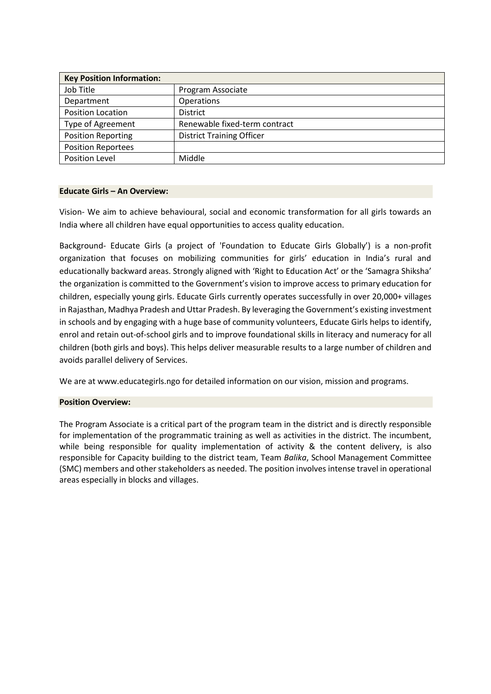| <b>Key Position Information:</b> |                                  |
|----------------------------------|----------------------------------|
| Job Title                        | Program Associate                |
| Department                       | Operations                       |
| <b>Position Location</b>         | <b>District</b>                  |
| Type of Agreement                | Renewable fixed-term contract    |
| <b>Position Reporting</b>        | <b>District Training Officer</b> |
| <b>Position Reportees</b>        |                                  |
| Position Level                   | Middle                           |

## **Educate Girls – An Overview:**

Vision- We aim to achieve behavioural, social and economic transformation for all girls towards an India where all children have equal opportunities to access quality education.

Background- Educate Girls (a project of 'Foundation to Educate Girls Globally') is a non-profit organization that focuses on mobilizing communities for girls' education in India's rural and educationally backward areas. Strongly aligned with 'Right to Education Act' or the 'Samagra Shiksha' the organization is committed to the Government's vision to improve access to primary education for children, especially young girls. Educate Girls currently operates successfully in over 20,000+ villages in Rajasthan, Madhya Pradesh and Uttar Pradesh. By leveraging the Government's existing investment in schools and by engaging with a huge base of community volunteers, Educate Girls helps to identify, enrol and retain out-of-school girls and to improve foundational skills in literacy and numeracy for all children (both girls and boys). This helps deliver measurable results to a large number of children and avoids parallel delivery of Services.

We are at www.educategirls.ngo for detailed information on our vision, mission and programs.

## **Position Overview:**

The Program Associate is a critical part of the program team in the district and is directly responsible for implementation of the programmatic training as well as activities in the district. The incumbent, while being responsible for quality implementation of activity & the content delivery, is also responsible for Capacity building to the district team, Team *Balika*, School Management Committee (SMC) members and other stakeholders as needed. The position involves intense travel in operational areas especially in blocks and villages.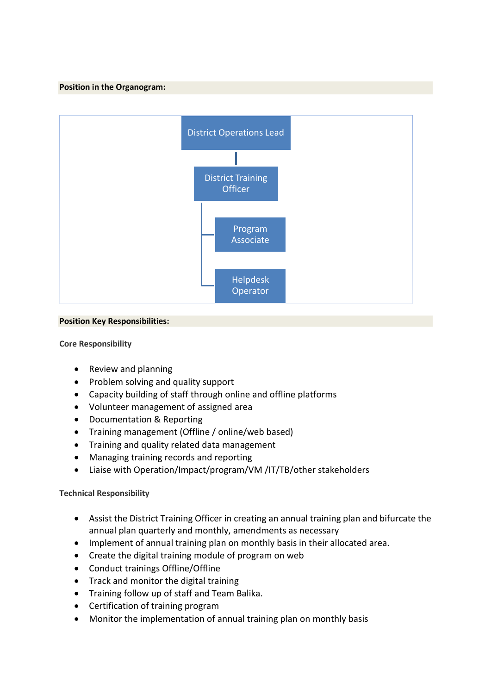## **Position in the Organogram:**



## **Position Key Responsibilities:**

# **Core Responsibility**

- Review and planning
- Problem solving and quality support
- Capacity building of staff through online and offline platforms
- Volunteer management of assigned area
- Documentation & Reporting
- Training management (Offline / online/web based)
- Training and quality related data management
- Managing training records and reporting
- Liaise with Operation/Impact/program/VM /IT/TB/other stakeholders

# **Technical Responsibility**

- Assist the District Training Officer in creating an annual training plan and bifurcate the annual plan quarterly and monthly, amendments as necessary
- Implement of annual training plan on monthly basis in their allocated area.
- Create the digital training module of program on web
- Conduct trainings Offline/Offline
- Track and monitor the digital training
- Training follow up of staff and Team Balika.
- Certification of training program
- Monitor the implementation of annual training plan on monthly basis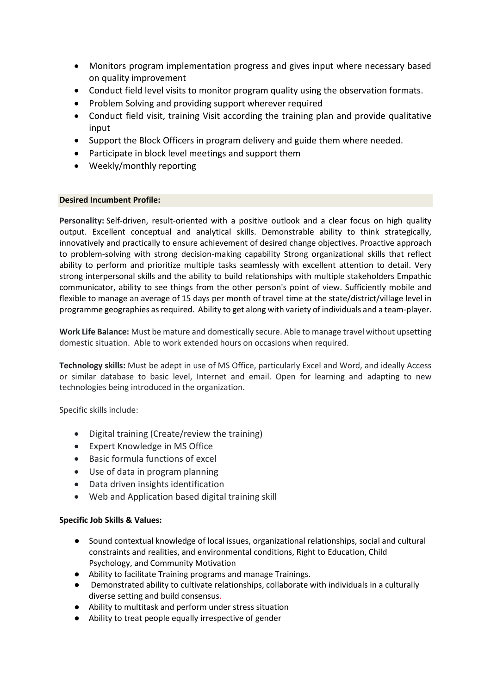- Monitors program implementation progress and gives input where necessary based on quality improvement
- Conduct field level visits to monitor program quality using the observation formats.
- Problem Solving and providing support wherever required
- Conduct field visit, training Visit according the training plan and provide qualitative input
- Support the Block Officers in program delivery and guide them where needed.
- Participate in block level meetings and support them
- Weekly/monthly reporting

#### **Desired Incumbent Profile:**

**Personality:** Self-driven, result-oriented with a positive outlook and a clear focus on high quality output. Excellent conceptual and analytical skills. Demonstrable ability to think strategically, innovatively and practically to ensure achievement of desired change objectives. Proactive approach to problem-solving with strong decision-making capability Strong organizational skills that reflect ability to perform and prioritize multiple tasks seamlessly with excellent attention to detail. Very strong interpersonal skills and the ability to build relationships with multiple stakeholders Empathic communicator, ability to see things from the other person's point of view. Sufficiently mobile and flexible to manage an average of 15 days per month of travel time at the state/district/village level in programme geographies as required. Ability to get along with variety of individuals and a team-player.

**Work Life Balance:** Must be mature and domestically secure. Able to manage travel without upsetting domestic situation. Able to work extended hours on occasions when required.

**Technology skills:** Must be adept in use of MS Office, particularly Excel and Word, and ideally Access or similar database to basic level, Internet and email. Open for learning and adapting to new technologies being introduced in the organization.

Specific skills include:

- Digital training (Create/review the training)
- Expert Knowledge in MS Office
- Basic formula functions of excel
- Use of data in program planning
- Data driven insights identification
- Web and Application based digital training skill

## **Specific Job Skills & Values:**

- Sound contextual knowledge of local issues, organizational relationships, social and cultural constraints and realities, and environmental conditions, Right to Education, Child Psychology, and Community Motivation
- Ability to facilitate Training programs and manage Trainings.
- Demonstrated ability to cultivate relationships, collaborate with individuals in a culturally diverse setting and build consensus.
- Ability to multitask and perform under stress situation
- Ability to treat people equally irrespective of gender